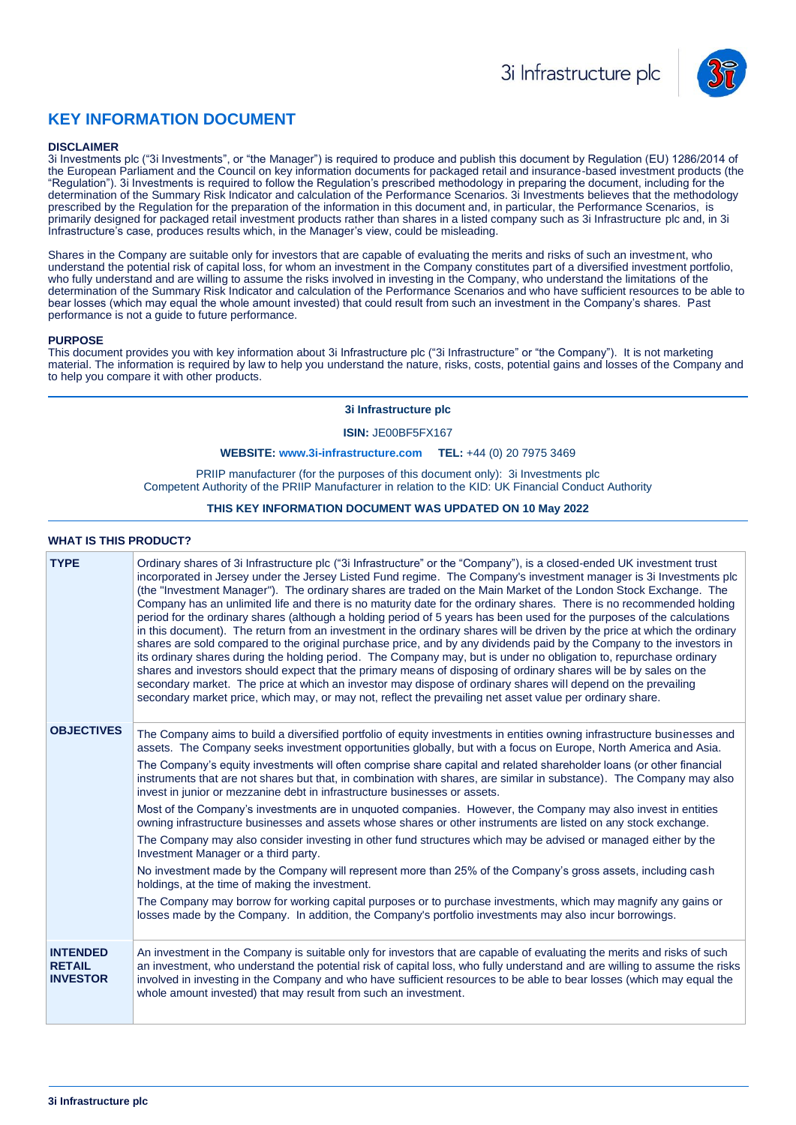

# **KEY INFORMATION DOCUMENT**

#### **DISCLAIMER**

3i Investments plc ("3i Investments", or "the Manager") is required to produce and publish this document by Regulation (EU) 1286/2014 of the European Parliament and the Council on key information documents for packaged retail and insurance-based investment products (the "Regulation"). 3i Investments is required to follow the Regulation's prescribed methodology in preparing the document, including for the determination of the Summary Risk Indicator and calculation of the Performance Scenarios. 3i Investments believes that the methodology prescribed by the Regulation for the preparation of the information in this document and, in particular, the Performance Scenarios, is primarily designed for packaged retail investment products rather than shares in a listed company such as 3i Infrastructure plc and, in 3i Infrastructure's case, produces results which, in the Manager's view, could be misleading.

Shares in the Company are suitable only for investors that are capable of evaluating the merits and risks of such an investment, who understand the potential risk of capital loss, for whom an investment in the Company constitutes part of a diversified investment portfolio, who fully understand and are willing to assume the risks involved in investing in the Company, who understand the limitations of the determination of the Summary Risk Indicator and calculation of the Performance Scenarios and who have sufficient resources to be able to bear losses (which may equal the whole amount invested) that could result from such an investment in the Company's shares. Past performance is not a guide to future performance.

#### **PURPOSE**

This document provides you with key information about 3i Infrastructure plc ("3i Infrastructure" or "the Company"). It is not marketing material. The information is required by law to help you understand the nature, risks, costs, potential gains and losses of the Company and to help you compare it with other products.

#### **3i Infrastructure plc**

**ISIN:** JE00BF5FX167

#### **WEBSITE: [www.3i-infrastructure.com](http://www.3i-infrastructure.com/) TEL:** +44 (0) 20 7975 3469

PRIIP manufacturer (for the purposes of this document only): 3i Investments plc Competent Authority of the PRIIP Manufacturer in relation to the KID: UK Financial Conduct Authority

## **THIS KEY INFORMATION DOCUMENT WAS UPDATED ON 10 May 2022**

#### **WHAT IS THIS PRODUCT?**

| <b>TYPE</b>                                         | Ordinary shares of 3i Infrastructure plc ("3i Infrastructure" or the "Company"), is a closed-ended UK investment trust<br>incorporated in Jersey under the Jersey Listed Fund regime. The Company's investment manager is 3i Investments plc<br>(the "Investment Manager"). The ordinary shares are traded on the Main Market of the London Stock Exchange. The<br>Company has an unlimited life and there is no maturity date for the ordinary shares. There is no recommended holding<br>period for the ordinary shares (although a holding period of 5 years has been used for the purposes of the calculations<br>in this document). The return from an investment in the ordinary shares will be driven by the price at which the ordinary<br>shares are sold compared to the original purchase price, and by any dividends paid by the Company to the investors in<br>its ordinary shares during the holding period. The Company may, but is under no obligation to, repurchase ordinary<br>shares and investors should expect that the primary means of disposing of ordinary shares will be by sales on the<br>secondary market. The price at which an investor may dispose of ordinary shares will depend on the prevailing<br>secondary market price, which may, or may not, reflect the prevailing net asset value per ordinary share.                         |
|-----------------------------------------------------|---------------------------------------------------------------------------------------------------------------------------------------------------------------------------------------------------------------------------------------------------------------------------------------------------------------------------------------------------------------------------------------------------------------------------------------------------------------------------------------------------------------------------------------------------------------------------------------------------------------------------------------------------------------------------------------------------------------------------------------------------------------------------------------------------------------------------------------------------------------------------------------------------------------------------------------------------------------------------------------------------------------------------------------------------------------------------------------------------------------------------------------------------------------------------------------------------------------------------------------------------------------------------------------------------------------------------------------------------------------------------|
| <b>OBJECTIVES</b>                                   | The Company aims to build a diversified portfolio of equity investments in entities owning infrastructure businesses and<br>assets. The Company seeks investment opportunities globally, but with a focus on Europe, North America and Asia.<br>The Company's equity investments will often comprise share capital and related shareholder loans (or other financial<br>instruments that are not shares but that, in combination with shares, are similar in substance). The Company may also<br>invest in junior or mezzanine debt in infrastructure businesses or assets.<br>Most of the Company's investments are in unquoted companies. However, the Company may also invest in entities<br>owning infrastructure businesses and assets whose shares or other instruments are listed on any stock exchange.<br>The Company may also consider investing in other fund structures which may be advised or managed either by the<br>Investment Manager or a third party.<br>No investment made by the Company will represent more than 25% of the Company's gross assets, including cash<br>holdings, at the time of making the investment.<br>The Company may borrow for working capital purposes or to purchase investments, which may magnify any gains or<br>losses made by the Company. In addition, the Company's portfolio investments may also incur borrowings. |
| <b>INTENDED</b><br><b>RETAIL</b><br><b>INVESTOR</b> | An investment in the Company is suitable only for investors that are capable of evaluating the merits and risks of such<br>an investment, who understand the potential risk of capital loss, who fully understand and are willing to assume the risks<br>involved in investing in the Company and who have sufficient resources to be able to bear losses (which may equal the<br>whole amount invested) that may result from such an investment.                                                                                                                                                                                                                                                                                                                                                                                                                                                                                                                                                                                                                                                                                                                                                                                                                                                                                                                         |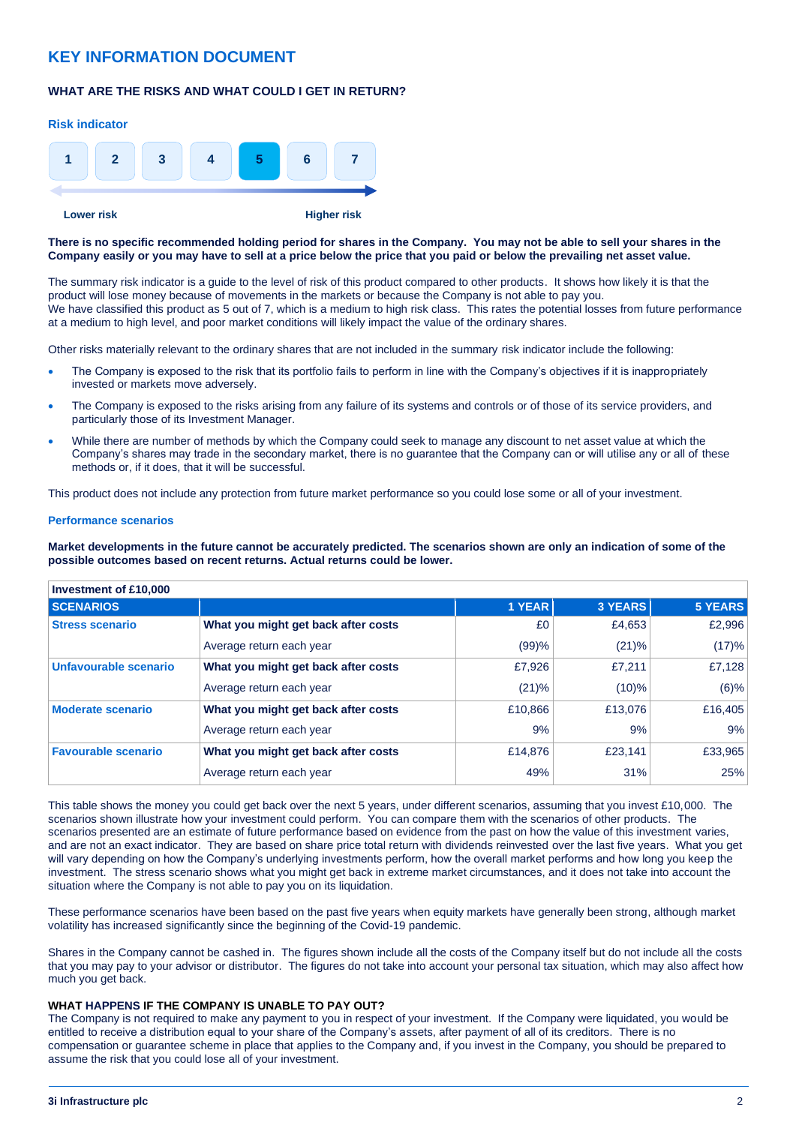# **KEY INFORMATION DOCUMENT**

# **WHAT ARE THE RISKS AND WHAT COULD I GET IN RETURN?**



**There is no specific recommended holding period for shares in the Company. You may not be able to sell your shares in the Company easily or you may have to sell at a price below the price that you paid or below the prevailing net asset value.** 

The summary risk indicator is a guide to the level of risk of this product compared to other products. It shows how likely it is that the product will lose money because of movements in the markets or because the Company is not able to pay you. We have classified this product as 5 out of 7, which is a medium to high risk class. This rates the potential losses from future performance at a medium to high level, and poor market conditions will likely impact the value of the ordinary shares.

Other risks materially relevant to the ordinary shares that are not included in the summary risk indicator include the following:

- The Company is exposed to the risk that its portfolio fails to perform in line with the Company's objectives if it is inappropriately invested or markets move adversely.
- The Company is exposed to the risks arising from any failure of its systems and controls or of those of its service providers, and particularly those of its Investment Manager.
- While there are number of methods by which the Company could seek to manage any discount to net asset value at which the Company's shares may trade in the secondary market, there is no guarantee that the Company can or will utilise any or all of these methods or, if it does, that it will be successful.

This product does not include any protection from future market performance so you could lose some or all of your investment.

#### **Performance scenarios**

**Market developments in the future cannot be accurately predicted. The scenarios shown are only an indication of some of the possible outcomes based on recent returns. Actual returns could be lower.**

| Investment of £10,000      |                                     |               |                |         |  |  |  |
|----------------------------|-------------------------------------|---------------|----------------|---------|--|--|--|
| <b>SCENARIOS</b>           |                                     | <b>1 YEAR</b> | <b>3 YEARS</b> | 5 YEARS |  |  |  |
| <b>Stress scenario</b>     | What you might get back after costs | £0            | £4,653         | £2,996  |  |  |  |
|                            | Average return each year            | (99)%         | (21)%          | (17)%   |  |  |  |
| Unfavourable scenario      | What you might get back after costs | £7.926        | £7.211         | £7,128  |  |  |  |
|                            | Average return each year            | (21)%         | $(10)\%$       | (6)%    |  |  |  |
| <b>Moderate scenario</b>   | What you might get back after costs | £10,866       | £13,076        | £16,405 |  |  |  |
|                            | Average return each year            | 9%            | 9%             | 9%      |  |  |  |
| <b>Favourable scenario</b> | What you might get back after costs | £14,876       | £23.141        | £33,965 |  |  |  |
|                            | Average return each year            | 49%           | 31%            | 25%     |  |  |  |

This table shows the money you could get back over the next 5 years, under different scenarios, assuming that you invest £10,000. The scenarios shown illustrate how your investment could perform. You can compare them with the scenarios of other products. The scenarios presented are an estimate of future performance based on evidence from the past on how the value of this investment varies, and are not an exact indicator. They are based on share price total return with dividends reinvested over the last five years. What you get will vary depending on how the Company's underlying investments perform, how the overall market performs and how long you keep the investment. The stress scenario shows what you might get back in extreme market circumstances, and it does not take into account the situation where the Company is not able to pay you on its liquidation.

These performance scenarios have been based on the past five years when equity markets have generally been strong, although market volatility has increased significantly since the beginning of the Covid-19 pandemic.

Shares in the Company cannot be cashed in. The figures shown include all the costs of the Company itself but do not include all the costs that you may pay to your advisor or distributor. The figures do not take into account your personal tax situation, which may also affect how much you get back.

# **WHAT HAPPENS IF THE COMPANY IS UNABLE TO PAY OUT?**

The Company is not required to make any payment to you in respect of your investment. If the Company were liquidated, you would be entitled to receive a distribution equal to your share of the Company's assets, after payment of all of its creditors. There is no compensation or guarantee scheme in place that applies to the Company and, if you invest in the Company, you should be prepared to assume the risk that you could lose all of your investment.